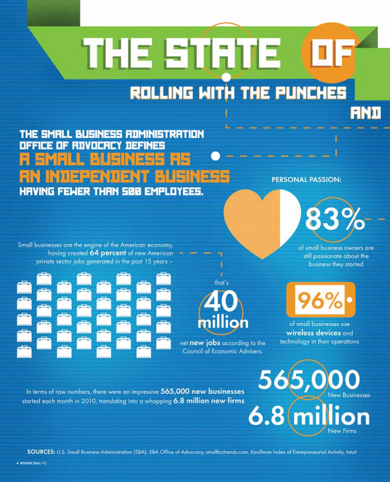# THE Entire **ROLLING WITH THE PUNCHES**

THE SMALL BUSINESS ROMINISTRATION *DEFICE OF ROVOCAL* **NEFINES HRVING FEWER THAN 500 EMPLOYEES.** 

**PERSONAL PASSION:** 

Small businesses are the engine of the American economy, having created 64 percent of new American private sector jobs generated in the past 15 years -





net new jobs according to the **Council of Economic Advisers.** 

of small business owners are still passionate about the business they started



of small businesses use wireless devices and technology in their operations.

In terms of raw numbers, there were an impressive 565,000 new businesses started each month in 2010, translating into a whopping 6.8 million new firms

lew Businesses **Vew Firms** 

SOURCES: U.S. Small Business Administration (SBA), SBA Office of Advocacy, smallbiztrends.com, Kauffman Index of Entrepreneurial Activity, Intuit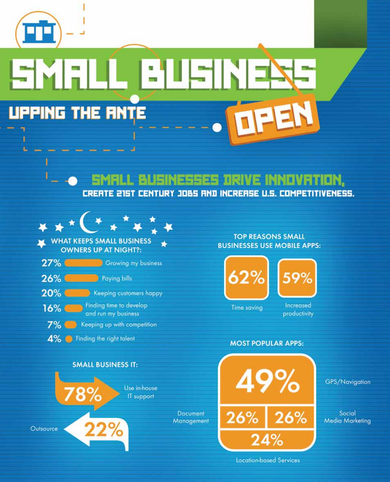

ı Ł

## \_|:'|||;||||= ME. **UPPING THE RNTE**

### SINESSES DRIVE INNOVRTION, CREATE 215T CENTURY JOBS AND INCREASE U.S. COMPETITIVENESS.

**Document** 

Management



**WHAT KEEPS SMALL BUSINESS OWNERS UP AT NIGHT?:** 

| 27% | Growing my business                            |
|-----|------------------------------------------------|
| 26% | Paying bills                                   |
| 20% | Keeping customers happy                        |
| 16% | Finding time to develop<br>and run my business |
| 7%  | Keeping up with competition                    |
| 4%  | Finding the right talent                       |



#### **TOP REASONS SMALL BUSINESSES USE MOBILE APPS:**



Time saving

Increased productivity

### **MOST POPULAR APPS:**



GPS/Navigation

Social **Media Marketing** 

**Location-based Services**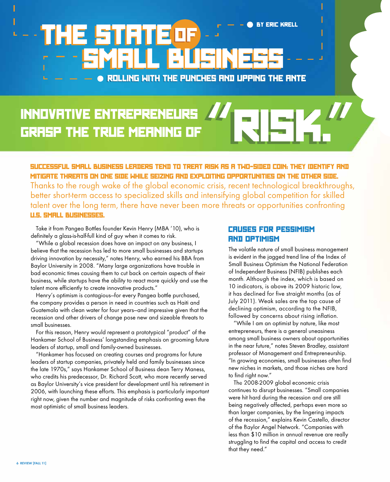## ROLLING WITH THE PUNCHES AND UPPING THE ANTE BY ERIC KRELL

## Innovative entrepreneurs grasp the true meaning of **"**RISK.**"**

Successful small business leaders tend to treat risk as a two-sided coin: they identify and mitigate threats on one side while seizing and exploiting opportunities on the other side. Thanks to the rough wake of the global economic crisis, recent technological breakthroughs, better short-term access to specialized skills and intensifying global competition for skilled talent over the long term, there have never been more threats or opportunities confronting U.S. SMALL BUSINESSES.

Take it from Pangea Bottles founder Kevin Henry (MBA '10), who is definitely a glass-is-half-full kind of guy when it comes to risk.

"While a global recession does have an impact on any business, I believe that the recession has led to more small businesses and startups driving innovation by necessity," notes Henry, who earned his BBA from Baylor University in 2008. "Many large organizations have trouble in bad economic times causing them to cut back on certain aspects of their business, while startups have the ability to react more quickly and use the talent more efficiently to create innovative products."

Henry's optimism is contagious—for every Pangea bottle purchased, the company provides a person in need in countries such as Haiti and Guatemala with clean water for four years—and impressive given that the recession and other drivers of change pose new and sizeable threats to small businesses.

For this reason, Henry would represent a prototypical "product" of the Hankamer School of Business' longstanding emphasis on grooming future leaders of startup, small and family-owned businesses.

"Hankamer has focused on creating courses and programs for future leaders of startup companies, privately held and family businesses since the late 1970s," says Hankamer School of Business dean Terry Maness, who credits his predecessor, Dr. Richard Scott, who more recently served as Baylor University's vice president for development until his retirement in 2006, with launching these efforts. This emphasis is particularly important right now, given the number and magnitude of risks confronting even the most optimistic of small business leaders.

#### **CRUSES FOR PESSIMISM** and Optimism

The volatile nature of small business management is evident in the jagged trend line of the Index of Small Business Optimism the National Federation of Independent Business (NFIB) publishes each month. Although the index, which is based on 10 indicators, is above its 2009 historic low, it has declined for five straight months (as of July 2011). Weak sales are the top cause of declining optimism, according to the NFIB, followed by concerns about rising inflation.

"While I am an optimist by nature, like most entrepreneurs, there is a general uneasiness among small business owners about opportunities in the near future," notes Steven Bradley, assistant professor of Management and Entrepreneurship. "In growing economies, small businesses often find new niches in markets, and those niches are hard to find right now."

The 2008-2009 global economic crisis continues to disrupt businesses. "Small companies were hit hard during the recession and are still being negatively affected, perhaps even more so than larger companies, by the lingering impacts of the recession," explains Kevin Castello, director of the Baylor Angel Network. "Companies with less than \$10 million in annual revenue are really struggling to find the capital and access to credit that they need."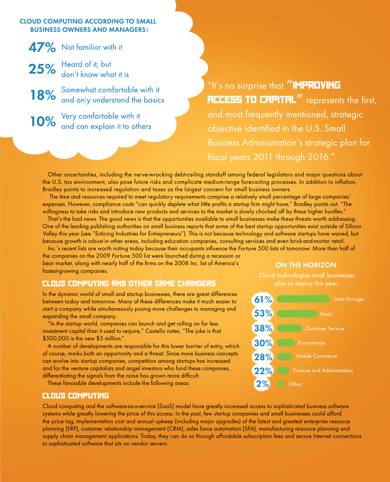#### **CLOUD COMPUTING ACCORDING TO SMALL BUSINESS OWNERS AND MANAGERS:**

47% Not familiar with it 25% Heard of it, but<br>about know what it is

18% Somewhat comfortable with it<br>and only understand the basics

10% Very comfortable with it<br>10% and can explain it to others

"It's no surprise that "**IMPROVING ACCESS TO CAPITAL"** represents the first, and most frequently mentioned, strategic objective identified in the U.S. Small Business Administration's strategic plan for fiscal years 2011 through 2016."

Other uncertainties, including the nerve-wracking debt-ceiling standoff among federal legislators and major questions about the U.S. tax environment, also pose future risks and complicate medium-range forecasting processes. In addition to inflation, Bradley points to increased regulation and taxes as the largest concern for small business owners.

 The time and resources required to meet regulatory requirements comprise a relatively small percentage of large companies' expenses. However, compliance costs "can quickly deplete what little profits a startup firm might have," Bradley points out. "The willingness to take risks and introduce new products and services to the market is slowly chocked off by these higher hurdles."

That's the bad news. The good news is that the opportunities available to small businesses make these threats worth addressing. One of the leading publishing authorities on small business reports that some of the best startup opportunities exist outside of Silicon Valley this year (see "Enticing Industries for Entrepreneurs"). This is not because technology and software startups have waned, but because growth is robust in other areas, including education companies, consulting services and even brick-and-mortar retail.

Inc.'s recent lists are worth noting today because their occupants influence the Fortune 500 lists of tomorrow. More than half of

the companies on the 2009 Fortune 500 list were launched during a recession or bear market, along with nearly half of the firms on the 2008 Inc. list of America's fastest-growing companies.

#### Cloud Computing and Other Game Changers

In the dynamic world of small and startup businesses, there are great differences between today and tomorrow. Many of these differences make it much easier to start a company while simultaneously posing more challenges to managing and expanding the small company.

"In the startup world, companies can launch and get rolling on far less investment capital than it used to require," Castello notes. "The joke is that \$500,000 is the new \$5 million."

A number of developments are responsible for this lower barrier of entry, which of course, marks both an opportunity and a threat. Since more business concepts can evolve into startup companies, competition among startups has increased and for the venture capitalists and angel investors who fund these companies, differentiating the signals from the noise has grown more difficult.

These favorable developments include the following areas:

#### Cloud Computing

Cloud computing and the software-as-a-service (SaaS) model have greatly increased access to sophisticated business software systems while greatly lowering the price of this access. In the past, few startup companies and small businesses could afford the price tag, implementation cost and annual upkeep (including major upgrades) of the latest and greatest enterprise resource planning (ERP), customer relationship management (CRM), sales force automation (SFA), manufacturing resource planning and supply chain management applications. Today, they can do so through affordable subscription fees and secure Internet connections to sophisticated software that sits on vendor servers.

#### **ON THE HORIZON**

Cloud technologies small businesses plan to deploy this year:

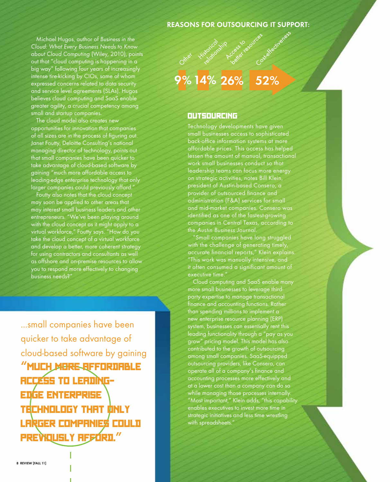#### **REASONS FOR OUTSOURCING IT SUPPORT:**

Michael Hugos, author of Business in the Cloud: What Every Business Needs to Know about Cloud Computing (Wiley, 2010), points out that "cloud computing is happening in a big way" following four years of increasingly intense tire-kicking by CIOs, some of whom expressed concerns related to data security and service level agreements (SLAs). Hugos believes cloud computing and SaaS enable greater agility, a crucial competency among small and startup companies.

The cloud model also creates new opportunities for innovation that companies of all sizes are in the process of figuring out. Janet Foutty, Deloitte Consulting's national managing director of technology, points out that small companies have been quicker to take advantage of cloud-based software by gaining "much more affordable access to leading-edge enterprise technology that only larger companies could previously afford."

Foutty also notes that the cloud concept may soon be applied to other areas that may interest small business leaders and other entrepreneurs. "We've been playing around with the cloud concept as it might apply to a virtual workforce," Foutty says. "How do you take the cloud concept of a virtual workforce and develop a better, more coherent strategy for using contractors and consultants as well as offshore and on-premise resources to allow you to respond more effectively to changing business needs?"

...small companies have been quicker to take advantage of cloud-based software by gaining **"**much more affordable access to leadingedge enterprise TECHNOLOGY THAT ONLY larger companies could previously afford.**"**

### 9% 14% 26%

#### **OUTSOURCING**

Technology developments have given small businesses access to sophisticated back-office information systems at more affordable prices. This access has helped lessen the amount of manual, transactional work small businesses conduct so that leadership teams can focus more energy on strategic activities, notes Bill Klein, president of Austin-based Consero, a provider of outsourced finance and administration (F&A) services for small and mid-market companies. Consero was identified as one of the fastest-growing companies in Central Texas, according to the Austin Business Journal.

"Small companies have long struggled with the challenge of generating timely, accurate financial reports," Klein explains. "This work was manually intensive, and it often consumed a significant amount of executive time.

Cloud computing and SaaS enable many more small businesses to leverage thirdparty expertise to manage transactional finance and accounting functions. Rather than spending millions to implement a new enterprise resource planning (ERP) system, businesses can essentially rent this leading functionality through a "pay as you grow" pricing model. This model has also contributed to the growth of outsourcing among small companies. SaaS-equipped outsourcing providers, like Consero, can operate all of a company's finance and accounting processes more effectively and at a lower cost than a company can do so while managing those processes internally. "Most important," Klein adds, "this capability enables executives to invest more time in strategic initiatives and less time wrestling with spreadsheets.'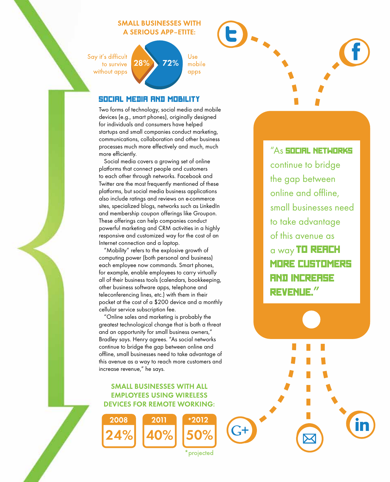#### **SMALL BUSINESSES WITH A SERIOUS APP-ETITE:**

Say it's difficult to survive without apps

Use 72% mobile apps

#### Social Media and Mobility

 $\boldsymbol{28\%}$ 

Two forms of technology, social media and mobile devices (e.g., smart phones), originally designed for individuals and consumers have helped startups and small companies conduct marketing, communications, collaboration and other business processes much more effectively and much, much more efficiently.

Social media covers a growing set of online platforms that connect people and customers to each other through networks. Facebook and Twitter are the most frequently mentioned of these platforms, but social media business applications also include ratings and reviews on e-commerce sites, specialized blogs, networks such as LinkedIn and membership coupon offerings like Groupon. These offerings can help companies conduct powerful marketing and CRM activities in a highly responsive and customized way for the cost of an Internet connection and a laptop.

"Mobility" refers to the explosive growth of computing power (both personal and business) each employee now commands. Smart phones, for example, enable employees to carry virtually all of their business tools (calendars, bookkeeping, other business software apps, telephone and teleconferencing lines, etc.) with them in their pocket at the cost of a \$200 device and a monthly cellular service subscription fee.

"Online sales and marketing is probably the greatest technological change that is both a threat and an opportunity for small business owners," Bradley says. Henry agrees. "As social networks continue to bridge the gap between online and offline, small businesses need to take advantage of this avenue as a way to reach more customers and increase revenue," he says.

#### **SMALL BUSINESSES WITH ALL EMPLOYEES USING WIRELESS DEVICES FOR REMOTE WORKING:**



\*2012

projected

"As **social networks** continue to bridge the gap between online and offline, small businesses need to take advantage of this avenue as a way TO REACH more customers and increase revenue.**"**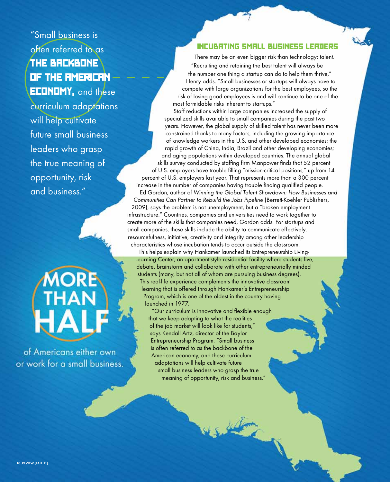"Small business is often referred to as the backbone of the American **ECONOMY**, and these curriculum adaptations will help cultivate future small business leaders who grasp the true meaning of opportunity, risk and business."

of Americans either own or work for a small business.

#### Incubating Small Business Leaders

There may be an even bigger risk than technology: talent. "Recruiting and retaining the best talent will always be the number one thing a startup can do to help them thrive," Henry adds. "Small businesses or startups will always have to compete with large organizations for the best employees, so the risk of losing good employees is and will continue to be one of the most formidable risks inherent to startups."

Staff reductions within large companies increased the supply of specialized skills available to small companies during the past two years. However, the global supply of skilled talent has never been more constrained thanks to many factors, including the growing importance of knowledge workers in the U.S. and other developed economies; the rapid growth of China, India, Brazil and other developing economies; and aging populations within developed countries. The annual global skills survey conducted by staffing firm Manpower finds that 52 percent of U.S. employers have trouble filling "mission-critical positions," up from 14 percent of U.S. employers last year. That represents more than a 300 percent increase in the number of companies having trouble finding qualified people. Ed Gordon, author of Winning the Global Talent Showdown: How Businesses and Communities Can Partner to Rebuild the Jobs Pipeline (Berrett-Koehler Publishers,

2009), says the problem is not unemployment, but a "broken employment infrastructure." Countries, companies and universities need to work together to create more of the skills that companies need, Gordon adds. For startups and small companies, these skills include the ability to communicate effectively, resourcefulness, initiative, creativity and integrity among other leadership characteristics whose incubation tends to occur outside the classroom.

This helps explain why Hankamer launched its Entrepreneurship Living-Learning Center, an apartment-style residential facility where students live, debate, brainstorm and collaborate with other entrepreneurially minded students (many, but not all of whom are pursuing business degrees). This real-life experience complements the innovative classroom learning that is offered through Hankamer's Entrepreneurship Program, which is one of the oldest in the country having launched in 1977.

15 Julian

"Our curriculum is innovative and flexible enough that we keep adapting to what the realities of the job market will look like for students," says Kendall Artz, director of the Baylor Entrepreneurship Program. "Small business is often referred to as the backbone of the American economy, and these curriculum adaptations will help cultivate future small business leaders who grasp the true meaning of opportunity, risk and business."